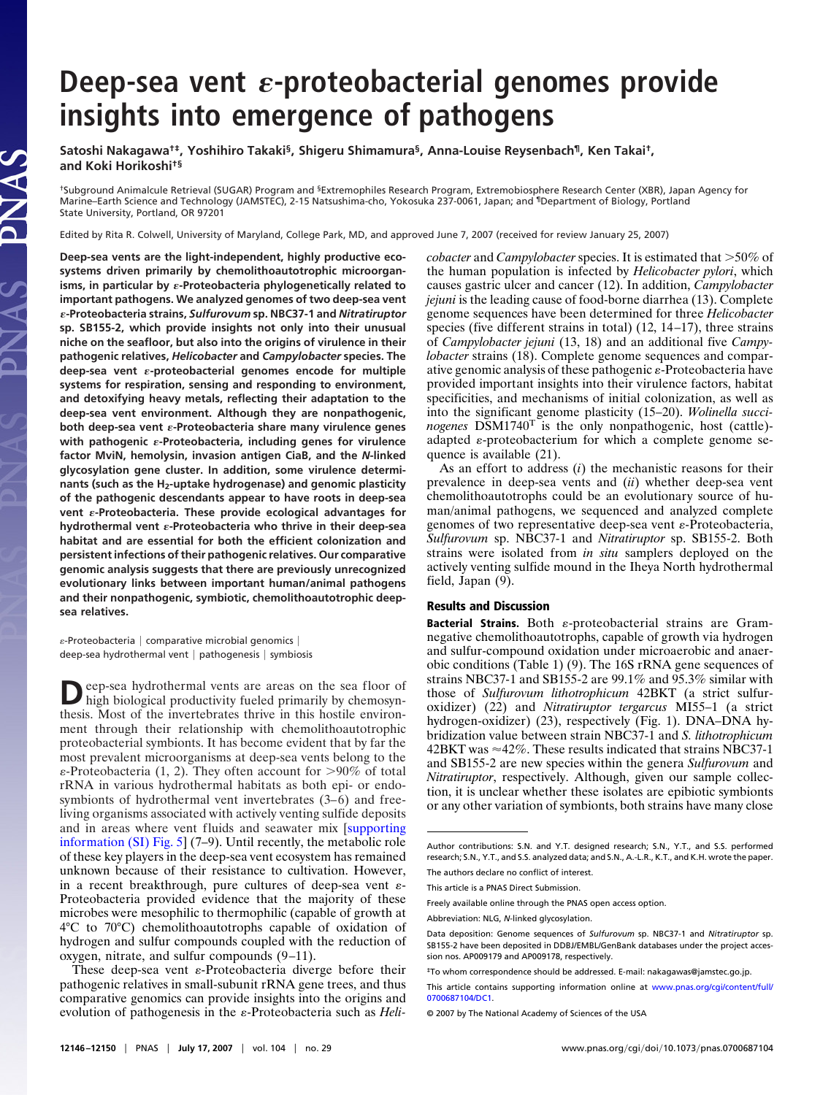## **Deep-sea vent -proteobacterial genomes provide insights into emergence of pathogens**

**Satoshi Nakagawa†‡, Yoshihiro Takaki§, Shigeru Shimamura§, Anna-Louise Reysenbach¶, Ken Takai†, and Koki Horikoshi†§**

†Subground Animalcule Retrieval (SUGAR) Program and §Extremophiles Research Program, Extremobiosphere Research Center (XBR), Japan Agency for Marine–Earth Science and Technology (JAMSTEC), 2-15 Natsushima-cho, Yokosuka 237-0061, Japan; and ¶Department of Biology, Portland State University, Portland, OR 97201

Edited by Rita R. Colwell, University of Maryland, College Park, MD, and approved June 7, 2007 (received for review January 25, 2007)

**Deep-sea vents are the light-independent, highly productive ecosystems driven primarily by chemolithoautotrophic microorganisms, in particular by -Proteobacteria phylogenetically related to important pathogens. We analyzed genomes of two deep-sea vent -Proteobacteria strains,** *Sulfurovum* **sp. NBC37-1 and** *Nitratiruptor* **sp. SB155-2, which provide insights not only into their unusual niche on the seafloor, but also into the origins of virulence in their pathogenic relatives,** *Helicobacter* **and** *Campylobacter* **species. The deep-sea vent -proteobacterial genomes encode for multiple systems for respiration, sensing and responding to environment, and detoxifying heavy metals, reflecting their adaptation to the deep-sea vent environment. Although they are nonpathogenic, both deep-sea vent -Proteobacteria share many virulence genes with pathogenic -Proteobacteria, including genes for virulence factor MviN, hemolysin, invasion antigen CiaB, and the** *N***-linked glycosylation gene cluster. In addition, some virulence determinants (such as the H2-uptake hydrogenase) and genomic plasticity of the pathogenic descendants appear to have roots in deep-sea vent -Proteobacteria. These provide ecological advantages for hydrothermal vent -Proteobacteria who thrive in their deep-sea habitat and are essential for both the efficient colonization and persistent infections of their pathogenic relatives. Our comparative genomic analysis suggests that there are previously unrecognized evolutionary links between important human/animal pathogens and their nonpathogenic, symbiotic, chemolithoautotrophic deepsea relatives.**

 $\varepsilon$ -Proteobacteria | comparative microbial genomics | deep-sea hydrothermal vent  $|$  pathogenesis  $|$  symbiosis

**D**eep-sea hydrothermal vents are areas on the sea floor of high biological productivity fueled primarily by chemosynthesis. Most of the invertebrates thrive in this hostile environment through their relationship with chemolithoautotrophic proteobacterial symbionts. It has become evident that by far the most prevalent microorganisms at deep-sea vents belong to the  $\varepsilon$ -Proteobacteria (1, 2). They often account for  $>90\%$  of total rRNA in various hydrothermal habitats as both epi- or endosymbionts of hydrothermal vent invertebrates (3–6) and freeliving organisms associated with actively venting sulfide deposits and in areas where vent fluids and seawater mix [\[supporting](http://www.pnas.org/cgi/content/full/0700687104/DC1) [information \(SI\) Fig. 5\]](http://www.pnas.org/cgi/content/full/0700687104/DC1) (7–9). Until recently, the metabolic role of these key players in the deep-sea vent ecosystem has remained unknown because of their resistance to cultivation. However, in a recent breakthrough, pure cultures of deep-sea vent  $\varepsilon$ -Proteobacteria provided evidence that the majority of these microbes were mesophilic to thermophilic (capable of growth at 4°C to 70°C) chemolithoautotrophs capable of oxidation of hydrogen and sulfur compounds coupled with the reduction of oxygen, nitrate, and sulfur compounds (9–11).

These deep-sea vent  $\varepsilon$ -Proteobacteria diverge before their pathogenic relatives in small-subunit rRNA gene trees, and thus comparative genomics can provide insights into the origins and evolution of pathogenesis in the  $\varepsilon$ -Proteobacteria such as *Heli*- *cobacter* and *Campylobacter* species. It is estimated that >50% of the human population is infected by *Helicobacter pylori*, which causes gastric ulcer and cancer (12). In addition, *Campylobacter jejuni* is the leading cause of food-borne diarrhea (13). Complete genome sequences have been determined for three *Helicobacter* species (five different strains in total) (12, 14–17), three strains of *Campylobacter jejuni* (13, 18) and an additional five *Campylobacter* strains (18). Complete genome sequences and comparative genomic analysis of these pathogenic  $\varepsilon$ -Proteobacteria have provided important insights into their virulence factors, habitat specificities, and mechanisms of initial colonization, as well as into the significant genome plasticity (15–20). *Wolinella succinogenes* DSM1740<sup>T</sup> is the only nonpathogenic, host (cattle) adapted  $\varepsilon$ -proteobacterium for which a complete genome sequence is available (21).

As an effort to address (*i*) the mechanistic reasons for their prevalence in deep-sea vents and (*ii*) whether deep-sea vent chemolithoautotrophs could be an evolutionary source of human/animal pathogens, we sequenced and analyzed complete genomes of two representative deep-sea vent  $\varepsilon$ -Proteobacteria, *Sulfurovum* sp. NBC37-1 and *Nitratiruptor* sp. SB155-2. Both strains were isolated from *in situ* samplers deployed on the actively venting sulfide mound in the Iheya North hydrothermal field, Japan (9).

## **Results and Discussion**

**Bacterial Strains.** Both  $\varepsilon$ -proteobacterial strains are Gramnegative chemolithoautotrophs, capable of growth via hydrogen and sulfur-compound oxidation under microaerobic and anaerobic conditions (Table 1) (9). The 16S rRNA gene sequences of strains NBC37-1 and SB155-2 are 99.1% and 95.3% similar with those of *Sulfurovum lithotrophicum* 42BKT (a strict sulfuroxidizer) (22) and *Nitratiruptor tergarcus* MI55–1 (a strict hydrogen-oxidizer) (23), respectively (Fig. 1). DNA–DNA hybridization value between strain NBC37-1 and *S. lithotrophicum*  $42BKT$  was  $\approx$  42%. These results indicated that strains NBC37-1 and SB155-2 are new species within the genera *Sulfurovum* and *Nitratiruptor*, respectively. Although, given our sample collection, it is unclear whether these isolates are epibiotic symbionts or any other variation of symbionts, both strains have many close

Author contributions: S.N. and Y.T. designed research; S.N., Y.T., and S.S. performed research; S.N., Y.T., and S.S. analyzed data; and S.N., A.-L.R., K.T., and K.H. wrote the paper.

The authors declare no conflict of interest.

This article is a PNAS Direct Submission.

Freely available online through the PNAS open access option.

Abbreviation: NLG, *N*-linked glycosylation.

Data deposition: Genome sequences of *Sulfurovum* sp. NBC37-1 and *Nitratiruptor* sp. SB155-2 have been deposited in DDBJ/EMBL/GenBank databases under the project accession nos. AP009179 and AP009178, respectively.

<sup>‡</sup>To whom correspondence should be addressed. E-mail: nakagawas@jamstec.go.jp.

This article contains supporting information online at [www.pnas.org/cgi/content/full/](http://www.pnas.org/cgi/content/full/0700687104/DC1) [0700687104/DC1.](http://www.pnas.org/cgi/content/full/0700687104/DC1)

<sup>© 2007</sup> by The National Academy of Sciences of the USA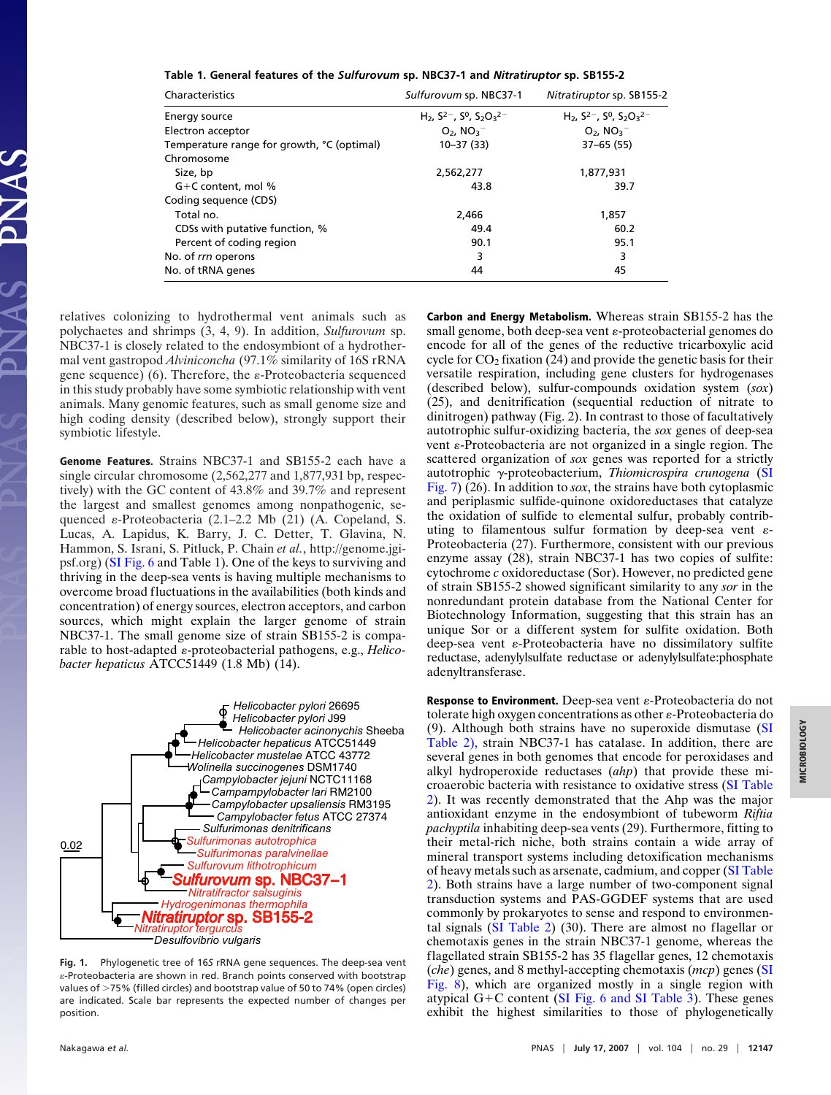**Table 1. General features of the** *Sulfurovum* **sp. NBC37-1 and** *Nitratiruptor* **sp. SB155-2**

| Characteristics                            | Sulfurovum sp. NBC37-1                                  | Nitratiruptor sp. SB155-2                |  |  |
|--------------------------------------------|---------------------------------------------------------|------------------------------------------|--|--|
| Energy source                              | H <sub>2</sub> , $S^{2-}$ , $S^{0}$ , $S_{2}O_{3}^{2-}$ | $H_2$ , $S^{2-}$ , $S^0$ , $S_2O_3^{2-}$ |  |  |
| Electron acceptor                          | $O_2$ , $NO_3^-$                                        | $O_2$ , $NO_3^-$                         |  |  |
| Temperature range for growth, °C (optimal) | $10 - 37(33)$                                           | $37 - 65(55)$                            |  |  |
| Chromosome                                 |                                                         |                                          |  |  |
| Size, bp                                   | 2,562,277                                               | 1,877,931                                |  |  |
| $G+C$ content, mol %                       | 43.8                                                    | 39.7                                     |  |  |
| Coding sequence (CDS)                      |                                                         |                                          |  |  |
| Total no.                                  | 2.466                                                   | 1.857                                    |  |  |
| CDSs with putative function, %             | 49.4                                                    | 60.2                                     |  |  |
| Percent of coding region                   | 90.1                                                    | 95.1                                     |  |  |
| No. of rrn operons                         | 3                                                       | 3                                        |  |  |
| No. of tRNA genes                          | 44                                                      | 45                                       |  |  |

relatives colonizing to hydrothermal vent animals such as polychaetes and shrimps (3, 4, 9). In addition, *Sulfurovum* sp. NBC37-1 is closely related to the endosymbiont of a hydrothermal vent gastropod *Alviniconcha* (97.1% similarity of 16S rRNA gene sequence) (6). Therefore, the  $\varepsilon$ -Proteobacteria sequenced in this study probably have some symbiotic relationship with vent animals. Many genomic features, such as small genome size and high coding density (described below), strongly support their symbiotic lifestyle.

**Genome Features.** Strains NBC37-1 and SB155-2 each have a single circular chromosome (2,562,277 and 1,877,931 bp, respectively) with the GC content of 43.8% and 39.7% and represent the largest and smallest genomes among nonpathogenic, sequenced  $\varepsilon$ -Proteobacteria (2.1–2.2 Mb (21) (A. Copeland, S. Lucas, A. Lapidus, K. Barry, J. C. Detter, T. Glavina, N. Hammon, S. Israni, S. Pitluck, P. Chain *et al.*, http://genome.jgipsf.org) [\(SI Fig. 6](http://www.pnas.org/cgi/content/full/0700687104/DC1) and Table 1). One of the keys to surviving and thriving in the deep-sea vents is having multiple mechanisms to overcome broad fluctuations in the availabilities (both kinds and concentration) of energy sources, electron acceptors, and carbon sources, which might explain the larger genome of strain NBC37-1. The small genome size of strain SB155-2 is comparable to host-adapted  $\varepsilon$ -proteobacterial pathogens, e.g., *Helicobacter hepaticus* ATCC51449 (1.8 Mb) (14).



**Fig. 1.** Phylogenetic tree of 16*S* rRNA gene sequences. The deep-sea vent -Proteobacteria are shown in red. Branch points conserved with bootstrap values of >75% (filled circles) and bootstrap value of 50 to 74% (open circles) are indicated. Scale bar represents the expected number of changes per position.

**Carbon and Energy Metabolism.** Whereas strain SB155-2 has the small genome, both deep-sea vent  $\varepsilon$ -proteobacterial genomes do encode for all of the genes of the reductive tricarboxylic acid cycle for  $CO<sub>2</sub>$  fixation (24) and provide the genetic basis for their versatile respiration, including gene clusters for hydrogenases (described below), sulfur-compounds oxidation system (*sox*) (25), and denitrification (sequential reduction of nitrate to dinitrogen) pathway (Fig. 2). In contrast to those of facultatively autotrophic sulfur-oxidizing bacteria, the *sox* genes of deep-sea vent  $\varepsilon$ -Proteobacteria are not organized in a single region. The scattered organization of *sox* genes was reported for a strictly autotrophic γ-proteobacterium, *Thiomicrospira crunogena* [\(SI](http://www.pnas.org/cgi/content/full/0700687104/DC1) [Fig. 7\)](http://www.pnas.org/cgi/content/full/0700687104/DC1) (26). In addition to *sox*, the strains have both cytoplasmic and periplasmic sulfide-quinone oxidoreductases that catalyze the oxidation of sulfide to elemental sulfur, probably contributing to filamentous sulfur formation by deep-sea vent  $\varepsilon$ -Proteobacteria (27). Furthermore, consistent with our previous enzyme assay (28), strain NBC37-1 has two copies of sulfite: cytochrome *c* oxidoreductase (Sor). However, no predicted gene of strain SB155-2 showed significant similarity to any *sor* in the nonredundant protein database from the National Center for Biotechnology Information, suggesting that this strain has an unique Sor or a different system for sulfite oxidation. Both deep-sea vent  $\varepsilon$ -Proteobacteria have no dissimilatory sulfite reductase, adenylylsulfate reductase or adenylylsulfate:phosphate adenyltransferase.

**Response to Environment.** Deep-sea vent  $\varepsilon$ -Proteobacteria do not tolerate high oxygen concentrations as other  $\varepsilon$ -Proteobacteria do (9). Although both strains have no superoxide dismutase [\(SI](http://www.pnas.org/cgi/content/full/0700687104/DC1) [Table 2\),](http://www.pnas.org/cgi/content/full/0700687104/DC1) strain NBC37-1 has catalase. In addition, there are several genes in both genomes that encode for peroxidases and alkyl hydroperoxide reductases (*ahp*) that provide these microaerobic bacteria with resistance to oxidative stress [\(SI Table](http://www.pnas.org/cgi/content/full/0700687104/DC1) [2\)](http://www.pnas.org/cgi/content/full/0700687104/DC1). It was recently demonstrated that the Ahp was the major antioxidant enzyme in the endosymbiont of tubeworm *Riftia pachyptila* inhabiting deep-sea vents (29). Furthermore, fitting to their metal-rich niche, both strains contain a wide array of mineral transport systems including detoxification mechanisms of heavy metals such as arsenate, cadmium, and copper [\(SI Table](http://www.pnas.org/cgi/content/full/0700687104/DC1) [2\)](http://www.pnas.org/cgi/content/full/0700687104/DC1). Both strains have a large number of two-component signal transduction systems and PAS-GGDEF systems that are used commonly by prokaryotes to sense and respond to environmental signals [\(SI Table 2\)](http://www.pnas.org/cgi/content/full/0700687104/DC1) (30). There are almost no flagellar or chemotaxis genes in the strain NBC37-1 genome, whereas the flagellated strain SB155-2 has 35 flagellar genes, 12 chemotaxis (*che*) genes, and 8 methyl-accepting chemotaxis (*mcp*) genes [\(SI](http://www.pnas.org/cgi/content/full/0700687104/DC1) [Fig. 8\)](http://www.pnas.org/cgi/content/full/0700687104/DC1), which are organized mostly in a single region with atypical G+C content [\(SI Fig. 6 and SI Table 3\)](http://www.pnas.org/cgi/content/full/0700687104/DC1). These genes exhibit the highest similarities to those of phylogenetically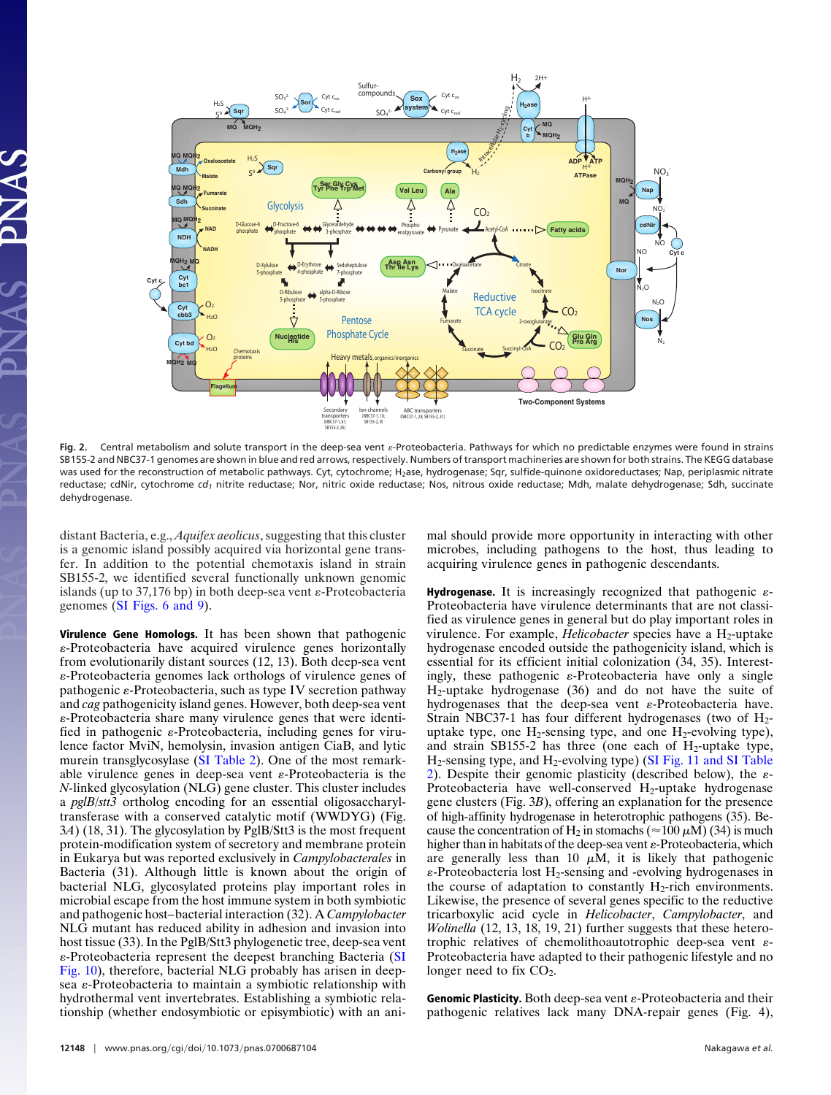

Fig. 2. Central metabolism and solute transport in the deep-sea vent  $\varepsilon$ -Proteobacteria. Pathways for which no predictable enzymes were found in strains SB155-2 and NBC37-1 genomes are shown in blue and red arrows, respectively. Numbers of transport machineries are shown for both strains. The KEGG database was used for the reconstruction of metabolic pathways. Cyt, cytochrome; H<sub>2</sub>ase, hydrogenase; Sqr, sulfide-quinone oxidoreductases; Nap, periplasmic nitrate reductase; cdNir, cytochrome cd<sub>1</sub> nitrite reductase; Nor, nitric oxide reductase; Nos, nitrous oxide reductase; Mdh, malate dehydrogenase; Sdh, succinate dehydrogenase.

distant Bacteria, e.g., *Aquifex aeolicus*, suggesting that this cluster is a genomic island possibly acquired via horizontal gene transfer. In addition to the potential chemotaxis island in strain SB155-2, we identified several functionally unknown genomic islands (up to 37,176 bp) in both deep-sea vent  $\varepsilon$ -Proteobacteria genomes [\(SI Figs. 6 and 9\)](http://www.pnas.org/cgi/content/full/0700687104/DC1).

**Virulence Gene Homologs.** It has been shown that pathogenic -Proteobacteria have acquired virulence genes horizontally from evolutionarily distant sources (12, 13). Both deep-sea vent -Proteobacteria genomes lack orthologs of virulence genes of pathogenic  $\varepsilon$ -Proteobacteria, such as type IV secretion pathway and *cag* pathogenicity island genes. However, both deep-sea vent -Proteobacteria share many virulence genes that were identified in pathogenic  $\varepsilon$ -Proteobacteria, including genes for virulence factor MviN, hemolysin, invasion antigen CiaB, and lytic murein transglycosylase [\(SI Table 2\)](http://www.pnas.org/cgi/content/full/0700687104/DC1). One of the most remarkable virulence genes in deep-sea vent  $\varepsilon$ -Proteobacteria is the *N-*linked glycosylation (NLG) gene cluster. This cluster includes a *pglB*/*stt3* ortholog encoding for an essential oligosaccharyltransferase with a conserved catalytic motif (WWDYG) (Fig. 3*A*) (18, 31). The glycosylation by PglB/Stt3 is the most frequent protein-modification system of secretory and membrane protein in Eukarya but was reported exclusively in *Campylobacterales* in Bacteria (31). Although little is known about the origin of bacterial NLG, glycosylated proteins play important roles in microbial escape from the host immune system in both symbiotic and pathogenic host–bacterial interaction (32). A *Campylobacter* NLG mutant has reduced ability in adhesion and invasion into host tissue (33). In the PglB/Stt3 phylogenetic tree, deep-sea vent -Proteobacteria represent the deepest branching Bacteria [\(SI](http://www.pnas.org/cgi/content/full/0700687104/DC1) [Fig. 10\)](http://www.pnas.org/cgi/content/full/0700687104/DC1), therefore, bacterial NLG probably has arisen in deepsea  $\varepsilon$ -Proteobacteria to maintain a symbiotic relationship with hydrothermal vent invertebrates. Establishing a symbiotic relationship (whether endosymbiotic or episymbiotic) with an animal should provide more opportunity in interacting with other microbes, including pathogens to the host, thus leading to acquiring virulence genes in pathogenic descendants.

**Hydrogenase.** It is increasingly recognized that pathogenic  $\varepsilon$ -Proteobacteria have virulence determinants that are not classified as virulence genes in general but do play important roles in virulence. For example, *Helicobacter* species have a H<sub>2</sub>-uptake hydrogenase encoded outside the pathogenicity island, which is essential for its efficient initial colonization (34, 35). Interestingly, these pathogenic  $\varepsilon$ -Proteobacteria have only a single H2-uptake hydrogenase (36) and do not have the suite of hydrogenases that the deep-sea vent  $\varepsilon$ -Proteobacteria have. Strain NBC37-1 has four different hydrogenases (two of  $H_2$ uptake type, one  $H_2$ -sensing type, and one  $H_2$ -evolving type), and strain SB155-2 has three (one each of  $H_2$ -uptake type,  $H_2$ -sensing type, and  $H_2$ -evolving type) [\(SI Fig. 11 and SI Table](http://www.pnas.org/cgi/content/full/0700687104/DC1) [2\)](http://www.pnas.org/cgi/content/full/0700687104/DC1). Despite their genomic plasticity (described below), the  $\varepsilon$ -Proteobacteria have well-conserved  $H_2$ -uptake hydrogenase gene clusters (Fig. 3*B*), offering an explanation for the presence of high-affinity hydrogenase in heterotrophic pathogens (35). Because the concentration of H<sub>2</sub> in stomachs ( $\approx$ 100  $\mu$ M) (34) is much higher than in habitats of the deep-sea vent  $\varepsilon$ -Proteobacteria, which are generally less than 10  $\mu$ M, it is likely that pathogenic  $\varepsilon$ -Proteobacteria lost H<sub>2</sub>-sensing and -evolving hydrogenases in the course of adaptation to constantly  $H_2$ -rich environments. Likewise, the presence of several genes specific to the reductive tricarboxylic acid cycle in *Helicobacter*, *Campylobacter*, and *Wolinella* (12, 13, 18, 19, 21) further suggests that these heterotrophic relatives of chemolithoautotrophic deep-sea vent  $\varepsilon$ -Proteobacteria have adapted to their pathogenic lifestyle and no longer need to fix  $CO<sub>2</sub>$ .

**Genomic Plasticity.** Both deep-sea vent  $\varepsilon$ -Proteobacteria and their pathogenic relatives lack many DNA-repair genes (Fig. 4),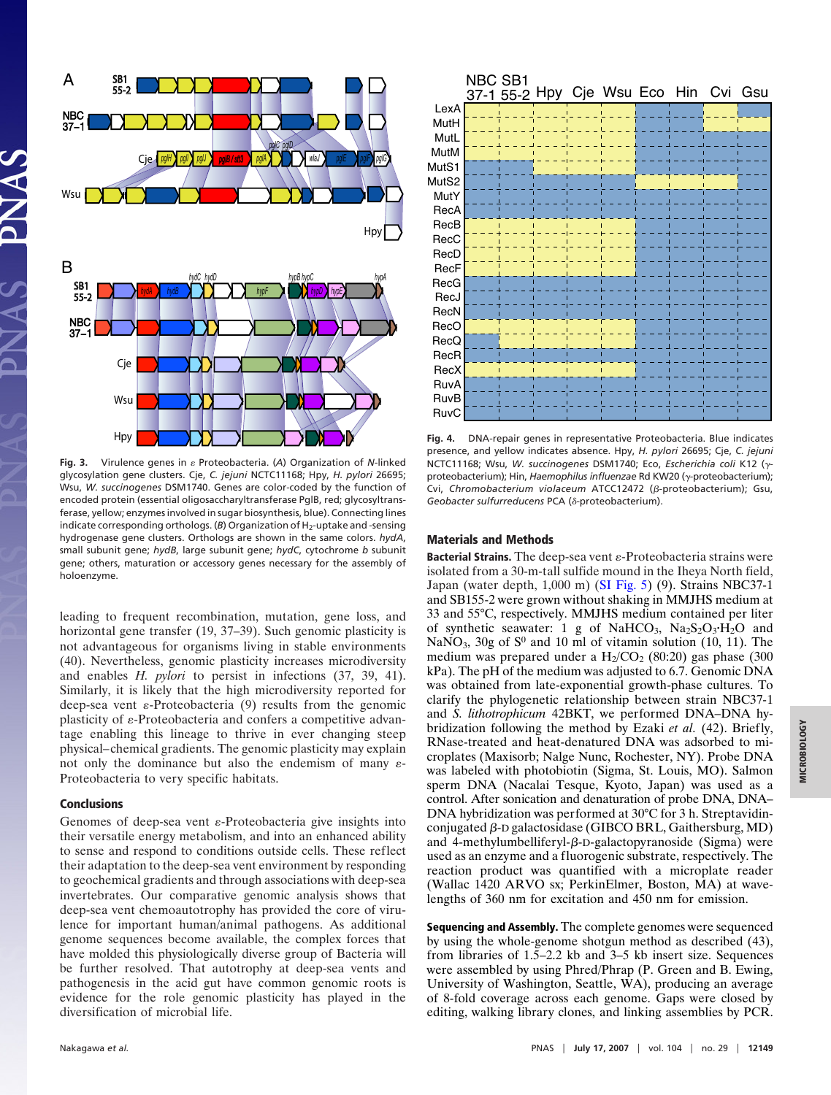

Fig. 3. Virulence genes in  $\varepsilon$  Proteobacteria. (A) Organization of *N*-linked glycosylation gene clusters. Cje, *C. jejuni* NCTC11168; Hpy, *H. pylori* 26695; Wsu, *W. succinogenes* DSM1740. Genes are color-coded by the function of encoded protein (essential oligosaccharyltransferase PglB, red; glycosyltransferase, yellow; enzymes involved in sugar biosynthesis, blue). Connecting lines indicate corresponding orthologs. (B) Organization of H<sub>2</sub>-uptake and -sensing hydrogenase gene clusters. Orthologs are shown in the same colors. *hydA*, small subunit gene; *hydB*, large subunit gene; *hydC*, cytochrome *b* subunit gene; others, maturation or accessory genes necessary for the assembly of holoenzyme.

leading to frequent recombination, mutation, gene loss, and horizontal gene transfer (19, 37–39). Such genomic plasticity is not advantageous for organisms living in stable environments (40). Nevertheless, genomic plasticity increases microdiversity and enables *H. pylori* to persist in infections (37, 39, 41). Similarly, it is likely that the high microdiversity reported for deep-sea vent  $\varepsilon$ -Proteobacteria (9) results from the genomic plasticity of  $\varepsilon$ -Proteobacteria and confers a competitive advantage enabling this lineage to thrive in ever changing steep physical–chemical gradients. The genomic plasticity may explain not only the dominance but also the endemism of many  $\varepsilon$ -Proteobacteria to very specific habitats.

## **Conclusions**

Genomes of deep-sea vent  $\varepsilon$ -Proteobacteria give insights into their versatile energy metabolism, and into an enhanced ability to sense and respond to conditions outside cells. These reflect their adaptation to the deep-sea vent environment by responding to geochemical gradients and through associations with deep-sea invertebrates. Our comparative genomic analysis shows that deep-sea vent chemoautotrophy has provided the core of virulence for important human/animal pathogens. As additional genome sequences become available, the complex forces that have molded this physiologically diverse group of Bacteria will be further resolved. That autotrophy at deep-sea vents and pathogenesis in the acid gut have common genomic roots is evidence for the role genomic plasticity has played in the diversification of microbial life.

|             | <b>NBC SB1</b> |  | 37-1 55-2 Hpy Cje Wsu Eco Hin Cvi Gsu |  |  |
|-------------|----------------|--|---------------------------------------|--|--|
| LexA        |                |  |                                       |  |  |
| MutH        |                |  |                                       |  |  |
| MutL        |                |  |                                       |  |  |
| MutM        |                |  |                                       |  |  |
| MutS1       |                |  |                                       |  |  |
| MutS2       |                |  |                                       |  |  |
| MutY        |                |  |                                       |  |  |
| RecA        |                |  |                                       |  |  |
| RecB        |                |  |                                       |  |  |
| RecC        |                |  |                                       |  |  |
| RecD        |                |  |                                       |  |  |
| RecF        |                |  |                                       |  |  |
| RecG        |                |  |                                       |  |  |
| RecJ        |                |  |                                       |  |  |
| RecN        |                |  |                                       |  |  |
| RecO        |                |  |                                       |  |  |
| RecQ        |                |  |                                       |  |  |
| RecR        |                |  |                                       |  |  |
| RecX        |                |  |                                       |  |  |
| RuvA        |                |  |                                       |  |  |
| <b>RuvB</b> |                |  |                                       |  |  |
| RuvC        |                |  |                                       |  |  |

**Fig. 4.** DNA-repair genes in representative Proteobacteria. Blue indicates presence, and yellow indicates absence. Hpy, *H. pylori* 26695; Cje, *C. jejuni* NCTC11168; Wsu, *W. succinogenes DSM1740; Eco, Escherichia coli K12 (<sub>Y</sub>*proteobacterium); Hin, *Haemophilus influenzae* Rd KW20 (<sub>Y</sub>-proteobacterium); Cvi, Chromobacterium violaceum ATCC12472 (β-proteobacterium); Gsu, Geobacter sulfurreducens PCA (δ-proteobacterium).

## **Materials and Methods**

**Bacterial Strains.** The deep-sea vent  $\varepsilon$ -Proteobacteria strains were isolated from a 30-m-tall sulfide mound in the Iheya North field, Japan (water depth, 1,000 m) [\(SI Fig. 5\)](http://www.pnas.org/cgi/content/full/0700687104/DC1) (9). Strains NBC37-1 and SB155-2 were grown without shaking in MMJHS medium at 33 and 55°C, respectively. MMJHS medium contained per liter of synthetic seawater: 1 g of NaHCO<sub>3</sub>,  $Na<sub>2</sub>S<sub>2</sub>O<sub>3</sub>·H<sub>2</sub>O$  and NaNO<sub>3</sub>, 30g of  $S^0$  and 10 ml of vitamin solution (10, 11). The medium was prepared under a  $H_2/CO_2$  (80:20) gas phase (300 kPa). The pH of the medium was adjusted to 6.7. Genomic DNA was obtained from late-exponential growth-phase cultures. To clarify the phylogenetic relationship between strain NBC37-1 and *S. lithotrophicum* 42BKT, we performed DNA–DNA hybridization following the method by Ezaki *et al.* (42). Briefly, RNase-treated and heat-denatured DNA was adsorbed to microplates (Maxisorb; Nalge Nunc, Rochester, NY). Probe DNA was labeled with photobiotin (Sigma, St. Louis, MO). Salmon sperm DNA (Nacalai Tesque, Kyoto, Japan) was used as a control. After sonication and denaturation of probe DNA, DNA– DNA hybridization was performed at 30°C for 3 h. Streptavidinconjugated  $\beta$ -D galactosidase (GIBCO BRL, Gaithersburg, MD) and 4-methylumbelliferyl- $\beta$ -D-galactopyranoside (Sigma) were used as an enzyme and a fluorogenic substrate, respectively. The reaction product was quantified with a microplate reader (Wallac 1420 ARVO sx; PerkinElmer, Boston, MA) at wavelengths of 360 nm for excitation and 450 nm for emission.

**Sequencing and Assembly.** The complete genomes were sequenced by using the whole-genome shotgun method as described (43), from libraries of 1.5–2.2 kb and 3–5 kb insert size. Sequences were assembled by using Phred/Phrap (P. Green and B. Ewing, University of Washington, Seattle, WA), producing an average of 8-fold coverage across each genome. Gaps were closed by editing, walking library clones, and linking assemblies by PCR.